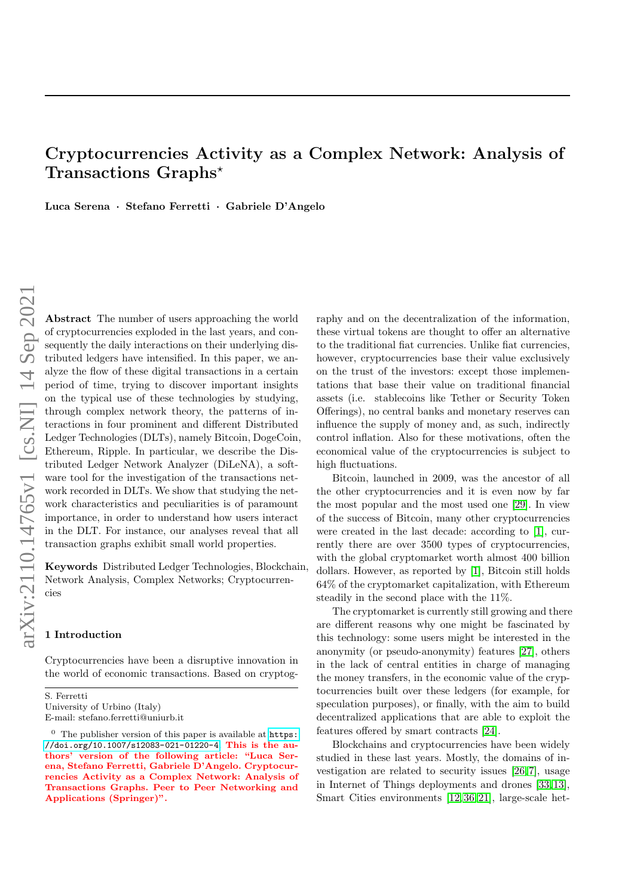# Cryptocurrencies Activity as a Complex Network: Analysis of Transactions Graphs?

Luca Serena · Stefano Ferretti · Gabriele D'Angelo

Abstract The number of users approaching the world of cryptocurrencies exploded in the last years, and consequently the daily interactions on their underlying distributed ledgers have intensified. In this paper, we analyze the flow of these digital transactions in a certain period of time, trying to discover important insights on the typical use of these technologies by studying, through complex network theory, the patterns of interactions in four prominent and different Distributed Ledger Technologies (DLTs), namely Bitcoin, DogeCoin, Ethereum, Ripple. In particular, we describe the Distributed Ledger Network Analyzer (DiLeNA), a software tool for the investigation of the transactions network recorded in DLTs. We show that studying the network characteristics and peculiarities is of paramount importance, in order to understand how users interact in the DLT. For instance, our analyses reveal that all transaction graphs exhibit small world properties.

Keywords Distributed Ledger Technologies, Blockchain, Network Analysis, Complex Networks; Cryptocurrencies

# 1 Introduction

Cryptocurrencies have been a disruptive innovation in the world of economic transactions. Based on cryptog-

University of Urbino (Italy) E-mail: stefano.ferretti@uniurb.it raphy and on the decentralization of the information, these virtual tokens are thought to offer an alternative to the traditional fiat currencies. Unlike fiat currencies, however, cryptocurrencies base their value exclusively on the trust of the investors: except those implementations that base their value on traditional financial assets (i.e. stablecoins like Tether or Security Token Offerings), no central banks and monetary reserves can influence the supply of money and, as such, indirectly control inflation. Also for these motivations, often the economical value of the cryptocurrencies is subject to high fluctuations.

Bitcoin, launched in 2009, was the ancestor of all the other cryptocurrencies and it is even now by far the most popular and the most used one [\[29\]](#page-11-0). In view of the success of Bitcoin, many other cryptocurrencies were created in the last decade: according to [\[1\]](#page-10-0), currently there are over 3500 types of cryptocurrencies, with the global cryptomarket worth almost 400 billion dollars. However, as reported by [\[1\]](#page-10-0), Bitcoin still holds 64% of the cryptomarket capitalization, with Ethereum steadily in the second place with the 11%.

The cryptomarket is currently still growing and there are different reasons why one might be fascinated by this technology: some users might be interested in the anonymity (or pseudo-anonymity) features [\[27\]](#page-11-1), others in the lack of central entities in charge of managing the money transfers, in the economic value of the cryptocurrencies built over these ledgers (for example, for speculation purposes), or finally, with the aim to build decentralized applications that are able to exploit the features offered by smart contracts [\[24\]](#page-10-1).

Blockchains and cryptocurrencies have been widely studied in these last years. Mostly, the domains of investigation are related to security issues [\[26,](#page-11-2) [7\]](#page-10-2), usage in Internet of Things deployments and drones [\[33,](#page-11-3) [13\]](#page-10-3), Smart Cities environments [\[12,](#page-10-4) [36,](#page-11-4) [21\]](#page-10-5), large-scale het-

S. Ferretti

 $<sup>0</sup>$  The publisher version of this paper is available at  $https:$ </sup> [//doi.org/10.1007/s12083-021-01220-4](https://doi.org/10.1007/s12083-021-01220-4). This is the authors' version of the following article: "Luca Serena, Stefano Ferretti, Gabriele D'Angelo. Cryptocurrencies Activity as a Complex Network: Analysis of Transactions Graphs. Peer to Peer Networking and Applications (Springer)".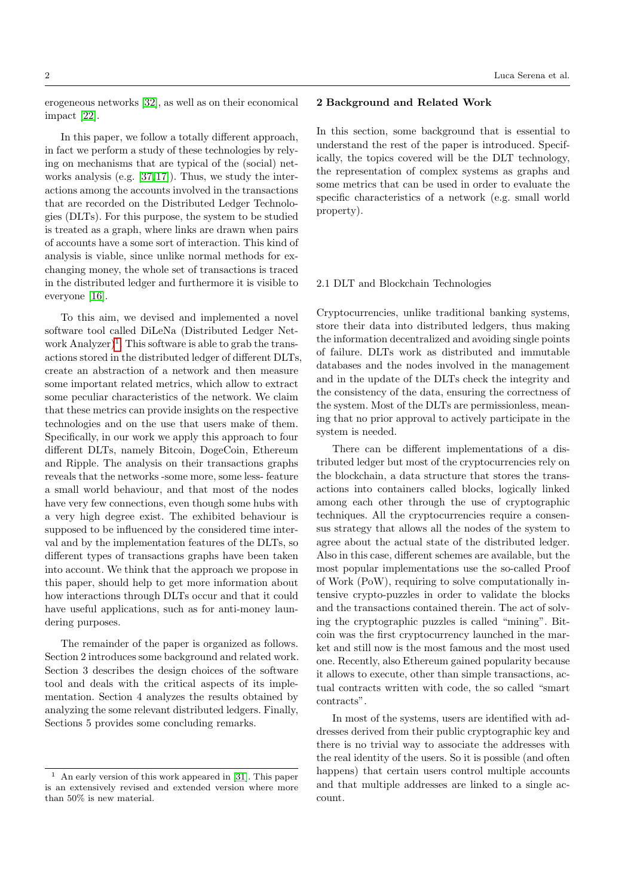erogeneous networks [\[32\]](#page-11-5), as well as on their economical impact [\[22\]](#page-10-6).

In this paper, we follow a totally different approach, in fact we perform a study of these technologies by relying on mechanisms that are typical of the (social) networks analysis (e.g. [\[37,](#page-11-6) [17\]](#page-10-7)). Thus, we study the interactions among the accounts involved in the transactions that are recorded on the Distributed Ledger Technologies (DLTs). For this purpose, the system to be studied is treated as a graph, where links are drawn when pairs of accounts have a some sort of interaction. This kind of analysis is viable, since unlike normal methods for exchanging money, the whole set of transactions is traced in the distributed ledger and furthermore it is visible to everyone [\[16\]](#page-10-8).

To this aim, we devised and implemented a novel software tool called DiLeNa (Distributed Ledger Net-work Analyzer)<sup>[1](#page-1-0)</sup>. This software is able to grab the transactions stored in the distributed ledger of different DLTs, create an abstraction of a network and then measure some important related metrics, which allow to extract some peculiar characteristics of the network. We claim that these metrics can provide insights on the respective technologies and on the use that users make of them. Specifically, in our work we apply this approach to four different DLTs, namely Bitcoin, DogeCoin, Ethereum and Ripple. The analysis on their transactions graphs reveals that the networks -some more, some less- feature a small world behaviour, and that most of the nodes have very few connections, even though some hubs with a very high degree exist. The exhibited behaviour is supposed to be influenced by the considered time interval and by the implementation features of the DLTs, so different types of transactions graphs have been taken into account. We think that the approach we propose in this paper, should help to get more information about how interactions through DLTs occur and that it could have useful applications, such as for anti-money laundering purposes.

The remainder of the paper is organized as follows. Section 2 introduces some background and related work. Section 3 describes the design choices of the software tool and deals with the critical aspects of its implementation. Section 4 analyzes the results obtained by analyzing the some relevant distributed ledgers. Finally, Sections 5 provides some concluding remarks.

# 2 Background and Related Work

In this section, some background that is essential to understand the rest of the paper is introduced. Specifically, the topics covered will be the DLT technology, the representation of complex systems as graphs and some metrics that can be used in order to evaluate the specific characteristics of a network (e.g. small world property).

## 2.1 DLT and Blockchain Technologies

Cryptocurrencies, unlike traditional banking systems, store their data into distributed ledgers, thus making the information decentralized and avoiding single points of failure. DLTs work as distributed and immutable databases and the nodes involved in the management and in the update of the DLTs check the integrity and the consistency of the data, ensuring the correctness of the system. Most of the DLTs are permissionless, meaning that no prior approval to actively participate in the system is needed.

There can be different implementations of a distributed ledger but most of the cryptocurrencies rely on the blockchain, a data structure that stores the transactions into containers called blocks, logically linked among each other through the use of cryptographic techniques. All the cryptocurrencies require a consensus strategy that allows all the nodes of the system to agree about the actual state of the distributed ledger. Also in this case, different schemes are available, but the most popular implementations use the so-called Proof of Work (PoW), requiring to solve computationally intensive crypto-puzzles in order to validate the blocks and the transactions contained therein. The act of solving the cryptographic puzzles is called "mining". Bitcoin was the first cryptocurrency launched in the market and still now is the most famous and the most used one. Recently, also Ethereum gained popularity because it allows to execute, other than simple transactions, actual contracts written with code, the so called "smart contracts".

In most of the systems, users are identified with addresses derived from their public cryptographic key and there is no trivial way to associate the addresses with the real identity of the users. So it is possible (and often happens) that certain users control multiple accounts and that multiple addresses are linked to a single account.

<span id="page-1-0"></span><sup>1</sup> An early version of this work appeared in [\[31\]](#page-11-7). This paper is an extensively revised and extended version where more than 50% is new material.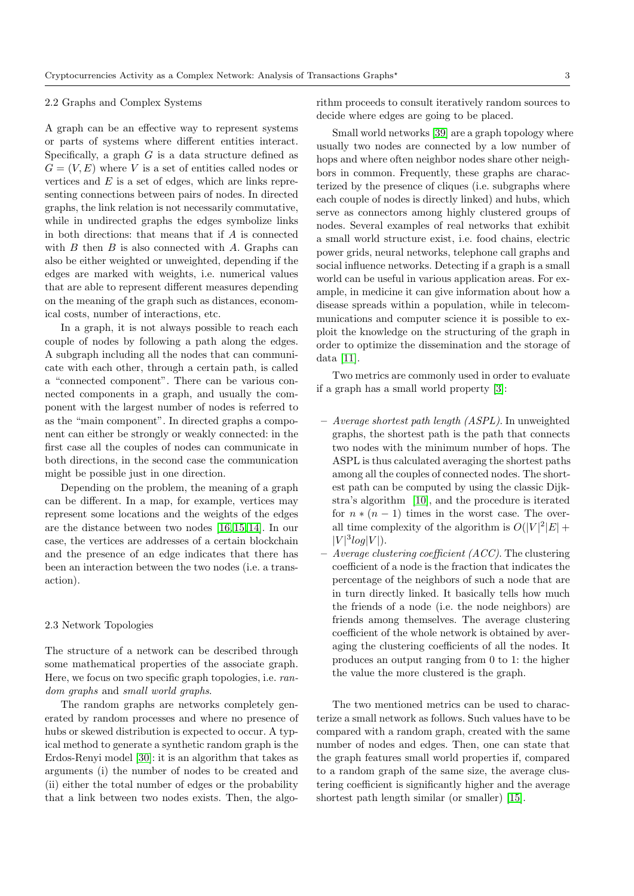#### 2.2 Graphs and Complex Systems

A graph can be an effective way to represent systems or parts of systems where different entities interact. Specifically, a graph  $G$  is a data structure defined as  $G = (V, E)$  where V is a set of entities called nodes or vertices and  $E$  is a set of edges, which are links representing connections between pairs of nodes. In directed graphs, the link relation is not necessarily commutative, while in undirected graphs the edges symbolize links in both directions: that means that if A is connected with  $B$  then  $B$  is also connected with  $A$ . Graphs can also be either weighted or unweighted, depending if the edges are marked with weights, i.e. numerical values that are able to represent different measures depending on the meaning of the graph such as distances, economical costs, number of interactions, etc.

In a graph, it is not always possible to reach each couple of nodes by following a path along the edges. A subgraph including all the nodes that can communicate with each other, through a certain path, is called a "connected component". There can be various connected components in a graph, and usually the component with the largest number of nodes is referred to as the "main component". In directed graphs a component can either be strongly or weakly connected: in the first case all the couples of nodes can communicate in both directions, in the second case the communication might be possible just in one direction.

Depending on the problem, the meaning of a graph can be different. In a map, for example, vertices may represent some locations and the weights of the edges are the distance between two nodes [\[16,](#page-10-8) [15,](#page-10-9) [14\]](#page-10-10). In our case, the vertices are addresses of a certain blockchain and the presence of an edge indicates that there has been an interaction between the two nodes (i.e. a transaction).

### 2.3 Network Topologies

The structure of a network can be described through some mathematical properties of the associate graph. Here, we focus on two specific graph topologies, i.e. random graphs and small world graphs.

The random graphs are networks completely generated by random processes and where no presence of hubs or skewed distribution is expected to occur. A typical method to generate a synthetic random graph is the Erdos-Renyi model [\[30\]](#page-11-8): it is an algorithm that takes as arguments (i) the number of nodes to be created and (ii) either the total number of edges or the probability that a link between two nodes exists. Then, the algorithm proceeds to consult iteratively random sources to decide where edges are going to be placed.

Small world networks [\[39\]](#page-11-9) are a graph topology where usually two nodes are connected by a low number of hops and where often neighbor nodes share other neighbors in common. Frequently, these graphs are characterized by the presence of cliques (i.e. subgraphs where each couple of nodes is directly linked) and hubs, which serve as connectors among highly clustered groups of nodes. Several examples of real networks that exhibit a small world structure exist, i.e. food chains, electric power grids, neural networks, telephone call graphs and social influence networks. Detecting if a graph is a small world can be useful in various application areas. For example, in medicine it can give information about how a disease spreads within a population, while in telecommunications and computer science it is possible to exploit the knowledge on the structuring of the graph in order to optimize the dissemination and the storage of data [\[11\]](#page-10-11).

Two metrics are commonly used in order to evaluate if a graph has a small world property [\[3\]](#page-10-12):

- Average shortest path length (ASPL). In unweighted graphs, the shortest path is the path that connects two nodes with the minimum number of hops. The ASPL is thus calculated averaging the shortest paths among all the couples of connected nodes. The shortest path can be computed by using the classic Dijkstra's algorithm [\[10\]](#page-10-13), and the procedure is iterated for  $n * (n-1)$  times in the worst case. The overall time complexity of the algorithm is  $O(|V|^2|E| +$  $|V|^3 log|V|$ ).
- $-$  Average clustering coefficient (ACC). The clustering coefficient of a node is the fraction that indicates the percentage of the neighbors of such a node that are in turn directly linked. It basically tells how much the friends of a node (i.e. the node neighbors) are friends among themselves. The average clustering coefficient of the whole network is obtained by averaging the clustering coefficients of all the nodes. It produces an output ranging from 0 to 1: the higher the value the more clustered is the graph.

The two mentioned metrics can be used to characterize a small network as follows. Such values have to be compared with a random graph, created with the same number of nodes and edges. Then, one can state that the graph features small world properties if, compared to a random graph of the same size, the average clustering coefficient is significantly higher and the average shortest path length similar (or smaller) [\[15\]](#page-10-9).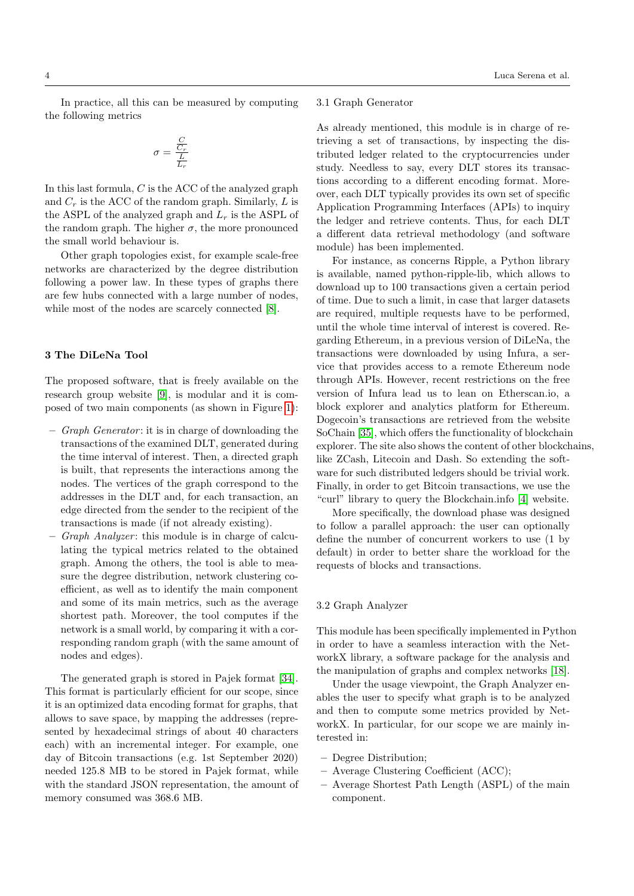In practice, all this can be measured by computing the following metrics

$$
\sigma = \frac{\frac{C}{C_r}}{\frac{L}{L_r}}
$$

In this last formula,  $C$  is the ACC of the analyzed graph and  $C_r$  is the ACC of the random graph. Similarly,  $L$  is the ASPL of the analyzed graph and  $L_r$  is the ASPL of the random graph. The higher  $\sigma$ , the more pronounced the small world behaviour is.

Other graph topologies exist, for example scale-free networks are characterized by the degree distribution following a power law. In these types of graphs there are few hubs connected with a large number of nodes, while most of the nodes are scarcely connected [\[8\]](#page-10-14).

### 3 The DiLeNa Tool

The proposed software, that is freely available on the research group website [\[9\]](#page-10-15), is modular and it is composed of two main components (as shown in Figure [1\)](#page-4-0):

- $-$  *Graph Generator*: it is in charge of downloading the transactions of the examined DLT, generated during the time interval of interest. Then, a directed graph is built, that represents the interactions among the nodes. The vertices of the graph correspond to the addresses in the DLT and, for each transaction, an edge directed from the sender to the recipient of the transactions is made (if not already existing).
- Graph Analyzer: this module is in charge of calculating the typical metrics related to the obtained graph. Among the others, the tool is able to measure the degree distribution, network clustering coefficient, as well as to identify the main component and some of its main metrics, such as the average shortest path. Moreover, the tool computes if the network is a small world, by comparing it with a corresponding random graph (with the same amount of nodes and edges).

The generated graph is stored in Pajek format [\[34\]](#page-11-10). This format is particularly efficient for our scope, since it is an optimized data encoding format for graphs, that allows to save space, by mapping the addresses (represented by hexadecimal strings of about 40 characters each) with an incremental integer. For example, one day of Bitcoin transactions (e.g. 1st September 2020) needed 125.8 MB to be stored in Pajek format, while with the standard JSON representation, the amount of memory consumed was 368.6 MB.

# 3.1 Graph Generator

As already mentioned, this module is in charge of retrieving a set of transactions, by inspecting the distributed ledger related to the cryptocurrencies under study. Needless to say, every DLT stores its transactions according to a different encoding format. Moreover, each DLT typically provides its own set of specific Application Programming Interfaces (APIs) to inquiry the ledger and retrieve contents. Thus, for each DLT a different data retrieval methodology (and software module) has been implemented.

For instance, as concerns Ripple, a Python library is available, named python-ripple-lib, which allows to download up to 100 transactions given a certain period of time. Due to such a limit, in case that larger datasets are required, multiple requests have to be performed, until the whole time interval of interest is covered. Regarding Ethereum, in a previous version of DiLeNa, the transactions were downloaded by using Infura, a service that provides access to a remote Ethereum node through APIs. However, recent restrictions on the free version of Infura lead us to lean on Etherscan.io, a block explorer and analytics platform for Ethereum. Dogecoin's transactions are retrieved from the website SoChain [\[35\]](#page-11-11), which offers the functionality of blockchain explorer. The site also shows the content of other blockchains, like ZCash, Litecoin and Dash. So extending the software for such distributed ledgers should be trivial work. Finally, in order to get Bitcoin transactions, we use the "curl" library to query the Blockchain.info [\[4\]](#page-10-16) website.

More specifically, the download phase was designed to follow a parallel approach: the user can optionally define the number of concurrent workers to use (1 by default) in order to better share the workload for the requests of blocks and transactions.

#### 3.2 Graph Analyzer

This module has been specifically implemented in Python in order to have a seamless interaction with the NetworkX library, a software package for the analysis and the manipulation of graphs and complex networks [\[18\]](#page-10-17).

Under the usage viewpoint, the Graph Analyzer enables the user to specify what graph is to be analyzed and then to compute some metrics provided by NetworkX. In particular, for our scope we are mainly interested in:

- Degree Distribution;
- Average Clustering Coefficient (ACC);
- Average Shortest Path Length (ASPL) of the main component.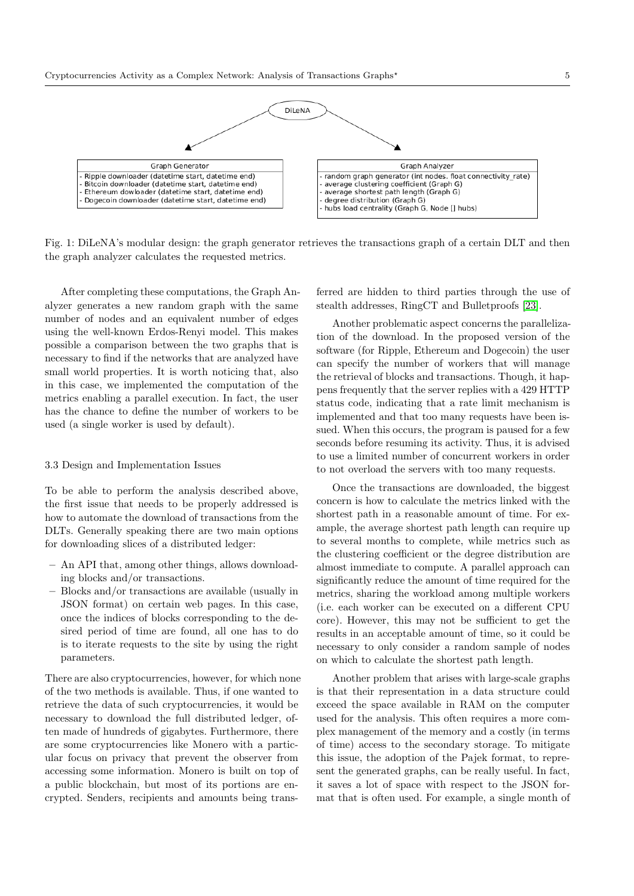<span id="page-4-0"></span>

Fig. 1: DiLeNA's modular design: the graph generator retrieves the transactions graph of a certain DLT and then the graph analyzer calculates the requested metrics.

After completing these computations, the Graph Analyzer generates a new random graph with the same number of nodes and an equivalent number of edges using the well-known Erdos-Renyi model. This makes possible a comparison between the two graphs that is necessary to find if the networks that are analyzed have small world properties. It is worth noticing that, also in this case, we implemented the computation of the metrics enabling a parallel execution. In fact, the user has the chance to define the number of workers to be used (a single worker is used by default).

#### 3.3 Design and Implementation Issues

To be able to perform the analysis described above, the first issue that needs to be properly addressed is how to automate the download of transactions from the DLTs. Generally speaking there are two main options for downloading slices of a distributed ledger:

- An API that, among other things, allows downloading blocks and/or transactions.
- Blocks and/or transactions are available (usually in JSON format) on certain web pages. In this case, once the indices of blocks corresponding to the desired period of time are found, all one has to do is to iterate requests to the site by using the right parameters.

There are also cryptocurrencies, however, for which none of the two methods is available. Thus, if one wanted to retrieve the data of such cryptocurrencies, it would be necessary to download the full distributed ledger, often made of hundreds of gigabytes. Furthermore, there are some cryptocurrencies like Monero with a particular focus on privacy that prevent the observer from accessing some information. Monero is built on top of a public blockchain, but most of its portions are encrypted. Senders, recipients and amounts being trans-

ferred are hidden to third parties through the use of stealth addresses, RingCT and Bulletproofs [\[23\]](#page-10-18).

Another problematic aspect concerns the parallelization of the download. In the proposed version of the software (for Ripple, Ethereum and Dogecoin) the user can specify the number of workers that will manage the retrieval of blocks and transactions. Though, it happens frequently that the server replies with a 429 HTTP status code, indicating that a rate limit mechanism is implemented and that too many requests have been issued. When this occurs, the program is paused for a few seconds before resuming its activity. Thus, it is advised to use a limited number of concurrent workers in order to not overload the servers with too many requests.

Once the transactions are downloaded, the biggest concern is how to calculate the metrics linked with the shortest path in a reasonable amount of time. For example, the average shortest path length can require up to several months to complete, while metrics such as the clustering coefficient or the degree distribution are almost immediate to compute. A parallel approach can significantly reduce the amount of time required for the metrics, sharing the workload among multiple workers (i.e. each worker can be executed on a different CPU core). However, this may not be sufficient to get the results in an acceptable amount of time, so it could be necessary to only consider a random sample of nodes on which to calculate the shortest path length.

Another problem that arises with large-scale graphs is that their representation in a data structure could exceed the space available in RAM on the computer used for the analysis. This often requires a more complex management of the memory and a costly (in terms of time) access to the secondary storage. To mitigate this issue, the adoption of the Pajek format, to represent the generated graphs, can be really useful. In fact, it saves a lot of space with respect to the JSON format that is often used. For example, a single month of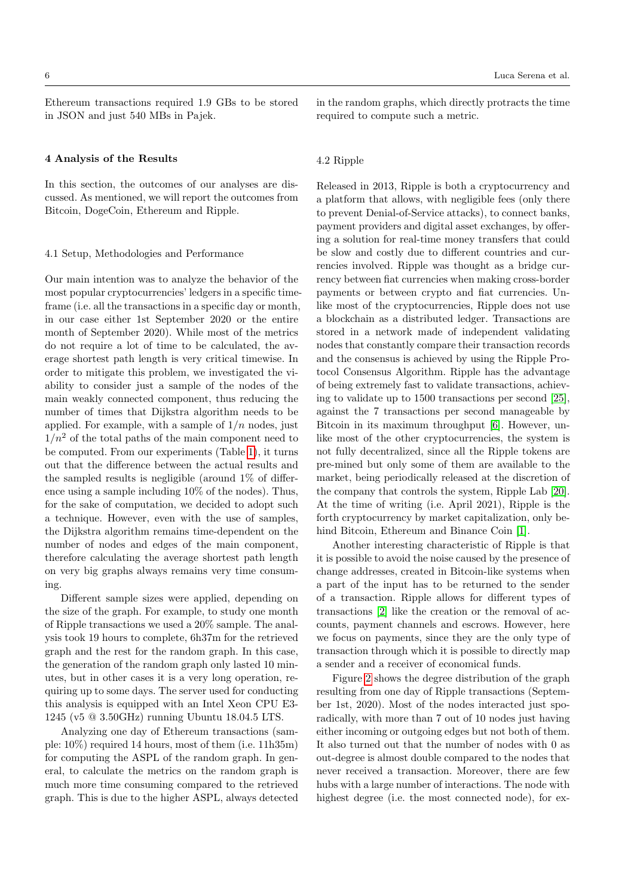Ethereum transactions required 1.9 GBs to be stored in JSON and just 540 MBs in Pajek.

## 4 Analysis of the Results

In this section, the outcomes of our analyses are discussed. As mentioned, we will report the outcomes from Bitcoin, DogeCoin, Ethereum and Ripple.

#### 4.1 Setup, Methodologies and Performance

Our main intention was to analyze the behavior of the most popular cryptocurrencies' ledgers in a specific timeframe (i.e. all the transactions in a specific day or month, in our case either 1st September 2020 or the entire month of September 2020). While most of the metrics do not require a lot of time to be calculated, the average shortest path length is very critical timewise. In order to mitigate this problem, we investigated the viability to consider just a sample of the nodes of the main weakly connected component, thus reducing the number of times that Dijkstra algorithm needs to be applied. For example, with a sample of  $1/n$  nodes, just  $1/n^2$  of the total paths of the main component need to be computed. From our experiments (Table [1\)](#page-6-0), it turns out that the difference between the actual results and the sampled results is negligible (around 1% of difference using a sample including 10% of the nodes). Thus, for the sake of computation, we decided to adopt such a technique. However, even with the use of samples, the Dijkstra algorithm remains time-dependent on the number of nodes and edges of the main component, therefore calculating the average shortest path length on very big graphs always remains very time consuming.

Different sample sizes were applied, depending on the size of the graph. For example, to study one month of Ripple transactions we used a 20% sample. The analysis took 19 hours to complete, 6h37m for the retrieved graph and the rest for the random graph. In this case, the generation of the random graph only lasted 10 minutes, but in other cases it is a very long operation, requiring up to some days. The server used for conducting this analysis is equipped with an Intel Xeon CPU E3- 1245 (v5 @ 3.50GHz) running Ubuntu 18.04.5 LTS.

Analyzing one day of Ethereum transactions (sample: 10%) required 14 hours, most of them (i.e. 11h35m) for computing the ASPL of the random graph. In general, to calculate the metrics on the random graph is much more time consuming compared to the retrieved graph. This is due to the higher ASPL, always detected in the random graphs, which directly protracts the time required to compute such a metric.

#### 4.2 Ripple

Released in 2013, Ripple is both a cryptocurrency and a platform that allows, with negligible fees (only there to prevent Denial-of-Service attacks), to connect banks, payment providers and digital asset exchanges, by offering a solution for real-time money transfers that could be slow and costly due to different countries and currencies involved. Ripple was thought as a bridge currency between fiat currencies when making cross-border payments or between crypto and fiat currencies. Unlike most of the cryptocurrencies, Ripple does not use a blockchain as a distributed ledger. Transactions are stored in a network made of independent validating nodes that constantly compare their transaction records and the consensus is achieved by using the Ripple Protocol Consensus Algorithm. Ripple has the advantage of being extremely fast to validate transactions, achieving to validate up to 1500 transactions per second [\[25\]](#page-11-12), against the 7 transactions per second manageable by Bitcoin in its maximum throughput [\[6\]](#page-10-19). However, unlike most of the other cryptocurrencies, the system is not fully decentralized, since all the Ripple tokens are pre-mined but only some of them are available to the market, being periodically released at the discretion of the company that controls the system, Ripple Lab [\[20\]](#page-10-20). At the time of writing (i.e. April 2021), Ripple is the forth cryptocurrency by market capitalization, only behind Bitcoin, Ethereum and Binance Coin [\[1\]](#page-10-0).

Another interesting characteristic of Ripple is that it is possible to avoid the noise caused by the presence of change addresses, created in Bitcoin-like systems when a part of the input has to be returned to the sender of a transaction. Ripple allows for different types of transactions [\[2\]](#page-10-21) like the creation or the removal of accounts, payment channels and escrows. However, here we focus on payments, since they are the only type of transaction through which it is possible to directly map a sender and a receiver of economical funds.

Figure [2](#page-11-13) shows the degree distribution of the graph resulting from one day of Ripple transactions (September 1st, 2020). Most of the nodes interacted just sporadically, with more than 7 out of 10 nodes just having either incoming or outgoing edges but not both of them. It also turned out that the number of nodes with 0 as out-degree is almost double compared to the nodes that never received a transaction. Moreover, there are few hubs with a large number of interactions. The node with highest degree (i.e. the most connected node), for ex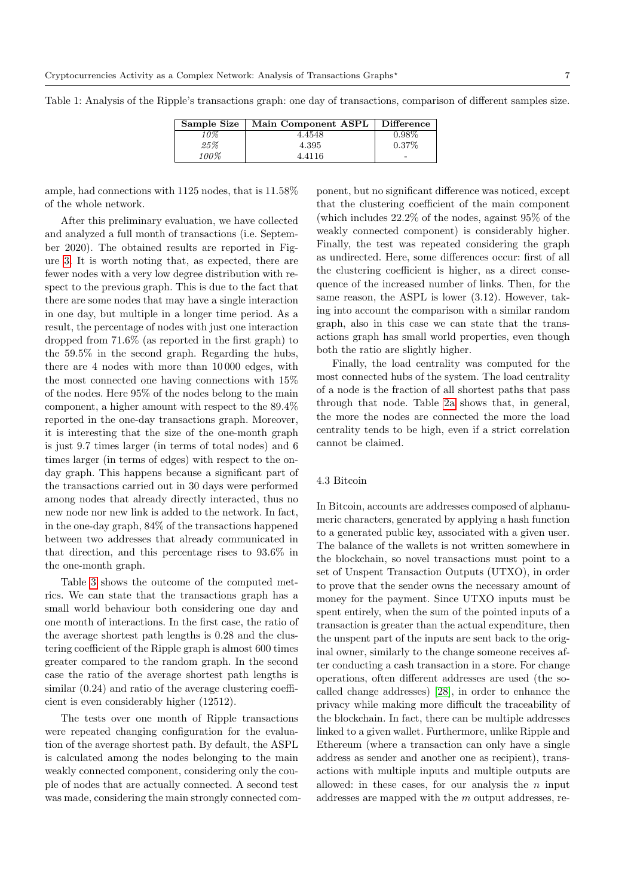Sample Size | Main Component ASPL | Difference 10% 4.4548 0.98%  $\begin{array}{c|c}\n 25\% \\
100\% \\
\end{array}$   $\begin{array}{c|c}\n 4.395 \\
\end{array}$   $\begin{array}{c|c}\n 0.37\% \\
\end{array}$ 4.4116 -

<span id="page-6-0"></span>Table 1: Analysis of the Ripple's transactions graph: one day of transactions, comparison of different samples size.

ample, had connections with 1125 nodes, that is 11.58% of the whole network.

After this preliminary evaluation, we have collected and analyzed a full month of transactions (i.e. September 2020). The obtained results are reported in Figure [3.](#page-12-0) It is worth noting that, as expected, there are fewer nodes with a very low degree distribution with respect to the previous graph. This is due to the fact that there are some nodes that may have a single interaction in one day, but multiple in a longer time period. As a result, the percentage of nodes with just one interaction dropped from 71.6% (as reported in the first graph) to the 59.5% in the second graph. Regarding the hubs, there are 4 nodes with more than 10 000 edges, with the most connected one having connections with 15% of the nodes. Here 95% of the nodes belong to the main component, a higher amount with respect to the 89.4% reported in the one-day transactions graph. Moreover, it is interesting that the size of the one-month graph is just 9.7 times larger (in terms of total nodes) and 6 times larger (in terms of edges) with respect to the onday graph. This happens because a significant part of the transactions carried out in 30 days were performed among nodes that already directly interacted, thus no new node nor new link is added to the network. In fact, in the one-day graph, 84% of the transactions happened between two addresses that already communicated in that direction, and this percentage rises to 93.6% in the one-month graph.

Table [3](#page-7-0) shows the outcome of the computed metrics. We can state that the transactions graph has a small world behaviour both considering one day and one month of interactions. In the first case, the ratio of the average shortest path lengths is 0.28 and the clustering coefficient of the Ripple graph is almost 600 times greater compared to the random graph. In the second case the ratio of the average shortest path lengths is similar  $(0.24)$  and ratio of the average clustering coefficient is even considerably higher (12512).

The tests over one month of Ripple transactions were repeated changing configuration for the evaluation of the average shortest path. By default, the ASPL is calculated among the nodes belonging to the main weakly connected component, considering only the couple of nodes that are actually connected. A second test was made, considering the main strongly connected component, but no significant difference was noticed, except that the clustering coefficient of the main component (which includes 22.2% of the nodes, against 95% of the weakly connected component) is considerably higher. Finally, the test was repeated considering the graph as undirected. Here, some differences occur: first of all the clustering coefficient is higher, as a direct consequence of the increased number of links. Then, for the same reason, the ASPL is lower (3.12). However, taking into account the comparison with a similar random graph, also in this case we can state that the transactions graph has small world properties, even though both the ratio are slightly higher.

Finally, the load centrality was computed for the most connected hubs of the system. The load centrality of a node is the fraction of all shortest paths that pass through that node. Table [2a](#page-7-1) shows that, in general, the more the nodes are connected the more the load centrality tends to be high, even if a strict correlation cannot be claimed.

#### 4.3 Bitcoin

In Bitcoin, accounts are addresses composed of alphanumeric characters, generated by applying a hash function to a generated public key, associated with a given user. The balance of the wallets is not written somewhere in the blockchain, so novel transactions must point to a set of Unspent Transaction Outputs (UTXO), in order to prove that the sender owns the necessary amount of money for the payment. Since UTXO inputs must be spent entirely, when the sum of the pointed inputs of a transaction is greater than the actual expenditure, then the unspent part of the inputs are sent back to the original owner, similarly to the change someone receives after conducting a cash transaction in a store. For change operations, often different addresses are used (the socalled change addresses) [\[28\]](#page-11-14), in order to enhance the privacy while making more difficult the traceability of the blockchain. In fact, there can be multiple addresses linked to a given wallet. Furthermore, unlike Ripple and Ethereum (where a transaction can only have a single address as sender and another one as recipient), transactions with multiple inputs and multiple outputs are allowed: in these cases, for our analysis the  $n$  input addresses are mapped with the m output addresses, re-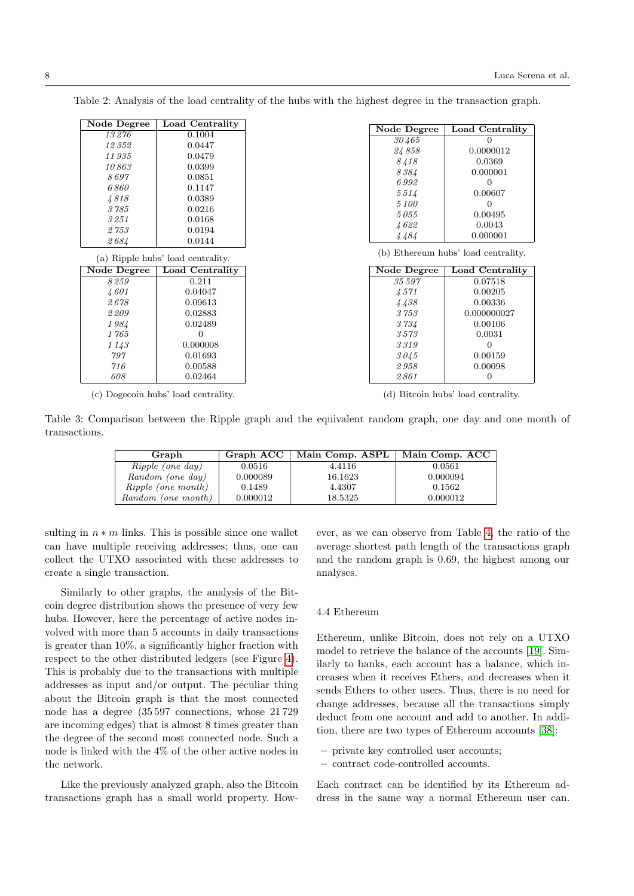| Node Degree        | Load Centrality                   | Node Degree        | Load Centrality                     |
|--------------------|-----------------------------------|--------------------|-------------------------------------|
| 13276              | 0.1004                            | 30465              | $\Omega$                            |
| 12352              | 0.0447                            |                    |                                     |
| 11935              | 0.0479                            | 24858              | 0.0000012                           |
| 10863              | 0.0399                            | 8418               | 0.0369                              |
| 8697               | 0.0851                            | 8384               | 0.000001                            |
| 6860               | 0.1147                            | 6992               | $\overline{0}$                      |
| 4818               | 0.0389                            | 5514               | 0.00607                             |
| 3785               | 0.0216                            | 5100               | $\overline{0}$                      |
| 3251               | 0.0168                            | 5055               | 0.00495                             |
| 2753               | 0.0194                            | 4622               | 0.0043                              |
| 2684               | 0.0144                            | 4484               | 0.000001                            |
|                    |                                   |                    |                                     |
|                    | (a) Ripple hubs' load centrality. |                    | (b) Ethereum hubs' load centrality. |
| <b>Node Degree</b> | Load Centrality                   | <b>Node Degree</b> | Load Centrality                     |
| 8259               | 0.211                             | 35597              | 0.07518                             |
| 4601               | 0.04047                           | 4571               | 0.00205                             |
| 2678               | 0.09613                           | 4438               | 0.00336                             |
| 2209               | 0.02883                           | 3753               | 0.000000027                         |
| 1984               | 0.02489                           | 3734               | 0.00106                             |
| 1765               | $\Omega$                          | 3573               | 0.0031                              |
| 1143               | 0.000008                          | 3319               | $\Omega$                            |
| 797                | 0.01693                           | 3045               | 0.00159                             |
| 716                | 0.00588                           | 2958               | 0.00098                             |
| 608                | 0.02464                           | 2861               | $\overline{0}$                      |

<span id="page-7-1"></span>Table 2: Analysis of the load centrality of the hubs with the highest degree in the transaction graph.

(c) Dogecoin hubs' load centrality.

(d) Bitcoin hubs' load centrality.

<span id="page-7-0"></span>Table 3: Comparison between the Ripple graph and the equivalent random graph, one day and one month of transactions.

| Graph                     | Graph ACC | Main Comp. ASPL | Main Comp. ACC |
|---------------------------|-----------|-----------------|----------------|
| <i>Ripple (one day)</i>   | 0.0516    | 4.4116          | 0.0561         |
| Random (one day)          | 0.000089  | 16.1623         | 0.000094       |
| <i>Ripple (one month)</i> | 0.1489    | 4.4307          | 0.1562         |
| Random (one month)        | 0.000012  | 18.5325         | 0.000012       |

sulting in  $n * m$  links. This is possible since one wallet can have multiple receiving addresses; thus, one can collect the UTXO associated with these addresses to create a single transaction.

Similarly to other graphs, the analysis of the Bitcoin degree distribution shows the presence of very few hubs. However, here the percentage of active nodes involved with more than 5 accounts in daily transactions is greater than 10%, a significantly higher fraction with respect to the other distributed ledgers (see Figure [4\)](#page-12-1). This is probably due to the transactions with multiple addresses as input and/or output. The peculiar thing about the Bitcoin graph is that the most connected node has a degree (35 597 connections, whose 21 729 are incoming edges) that is almost 8 times greater than the degree of the second most connected node. Such a node is linked with the 4% of the other active nodes in the network.

Like the previously analyzed graph, also the Bitcoin transactions graph has a small world property. However, as we can observe from Table [4,](#page-8-0) the ratio of the average shortest path length of the transactions graph and the random graph is 0.69, the highest among our analyses.

#### 4.4 Ethereum

Ethereum, unlike Bitcoin, does not rely on a UTXO model to retrieve the balance of the accounts [\[19\]](#page-10-22). Similarly to banks, each account has a balance, which increases when it receives Ethers, and decreases when it sends Ethers to other users. Thus, there is no need for change addresses, because all the transactions simply deduct from one account and add to another. In addition, there are two types of Ethereum accounts [\[38\]](#page-11-15):

- private key controlled user accounts;
- contract code-controlled accounts.

Each contract can be identified by its Ethereum address in the same way a normal Ethereum user can.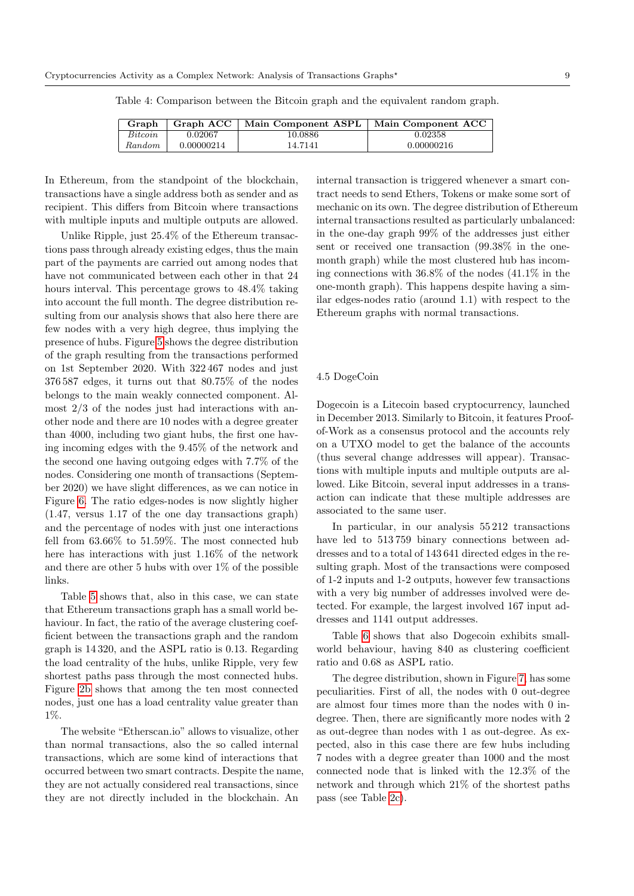| Graph   | Graph ACC  | Main Component ASPL   Main Component ACC |            |
|---------|------------|------------------------------------------|------------|
| Bitcoin | 0.02067    | 10.0886                                  | 0.02358    |
| Random  | 0.00000214 | 14.7141                                  | 0.00000216 |

<span id="page-8-0"></span>Table 4: Comparison between the Bitcoin graph and the equivalent random graph.

In Ethereum, from the standpoint of the blockchain, transactions have a single address both as sender and as recipient. This differs from Bitcoin where transactions with multiple inputs and multiple outputs are allowed.

Unlike Ripple, just 25.4% of the Ethereum transactions pass through already existing edges, thus the main part of the payments are carried out among nodes that have not communicated between each other in that 24 hours interval. This percentage grows to 48.4% taking into account the full month. The degree distribution resulting from our analysis shows that also here there are few nodes with a very high degree, thus implying the presence of hubs. Figure [5](#page-13-0) shows the degree distribution of the graph resulting from the transactions performed on 1st September 2020. With 322 467 nodes and just 376 587 edges, it turns out that 80.75% of the nodes belongs to the main weakly connected component. Almost 2/3 of the nodes just had interactions with another node and there are 10 nodes with a degree greater than 4000, including two giant hubs, the first one having incoming edges with the 9.45% of the network and the second one having outgoing edges with 7.7% of the nodes. Considering one month of transactions (September 2020) we have slight differences, as we can notice in Figure [6.](#page-13-1) The ratio edges-nodes is now slightly higher (1.47, versus 1.17 of the one day transactions graph) and the percentage of nodes with just one interactions fell from 63.66% to 51.59%. The most connected hub here has interactions with just 1.16% of the network and there are other 5 hubs with over 1% of the possible links.

Table [5](#page-9-0) shows that, also in this case, we can state that Ethereum transactions graph has a small world behaviour. In fact, the ratio of the average clustering coefficient between the transactions graph and the random graph is 14 320, and the ASPL ratio is 0.13. Regarding the load centrality of the hubs, unlike Ripple, very few shortest paths pass through the most connected hubs. Figure [2b](#page-7-1) shows that among the ten most connected nodes, just one has a load centrality value greater than 1%.

The website "Etherscan.io" allows to visualize, other than normal transactions, also the so called internal transactions, which are some kind of interactions that occurred between two smart contracts. Despite the name, they are not actually considered real transactions, since they are not directly included in the blockchain. An

internal transaction is triggered whenever a smart contract needs to send Ethers, Tokens or make some sort of mechanic on its own. The degree distribution of Ethereum internal transactions resulted as particularly unbalanced: in the one-day graph 99% of the addresses just either sent or received one transaction (99.38% in the onemonth graph) while the most clustered hub has incoming connections with 36.8% of the nodes (41.1% in the one-month graph). This happens despite having a similar edges-nodes ratio (around 1.1) with respect to the Ethereum graphs with normal transactions.

## 4.5 DogeCoin

Dogecoin is a Litecoin based cryptocurrency, launched in December 2013. Similarly to Bitcoin, it features Proofof-Work as a consensus protocol and the accounts rely on a UTXO model to get the balance of the accounts (thus several change addresses will appear). Transactions with multiple inputs and multiple outputs are allowed. Like Bitcoin, several input addresses in a transaction can indicate that these multiple addresses are associated to the same user.

In particular, in our analysis 55 212 transactions have led to 513 759 binary connections between addresses and to a total of 143 641 directed edges in the resulting graph. Most of the transactions were composed of 1-2 inputs and 1-2 outputs, however few transactions with a very big number of addresses involved were detected. For example, the largest involved 167 input addresses and 1141 output addresses.

Table [6](#page-9-1) shows that also Dogecoin exhibits smallworld behaviour, having 840 as clustering coefficient ratio and 0.68 as ASPL ratio.

The degree distribution, shown in Figure [7,](#page-14-0) has some peculiarities. First of all, the nodes with 0 out-degree are almost four times more than the nodes with 0 indegree. Then, there are significantly more nodes with 2 as out-degree than nodes with 1 as out-degree. As expected, also in this case there are few hubs including 7 nodes with a degree greater than 1000 and the most connected node that is linked with the 12.3% of the network and through which 21% of the shortest paths pass (see Table [2c\)](#page-7-1).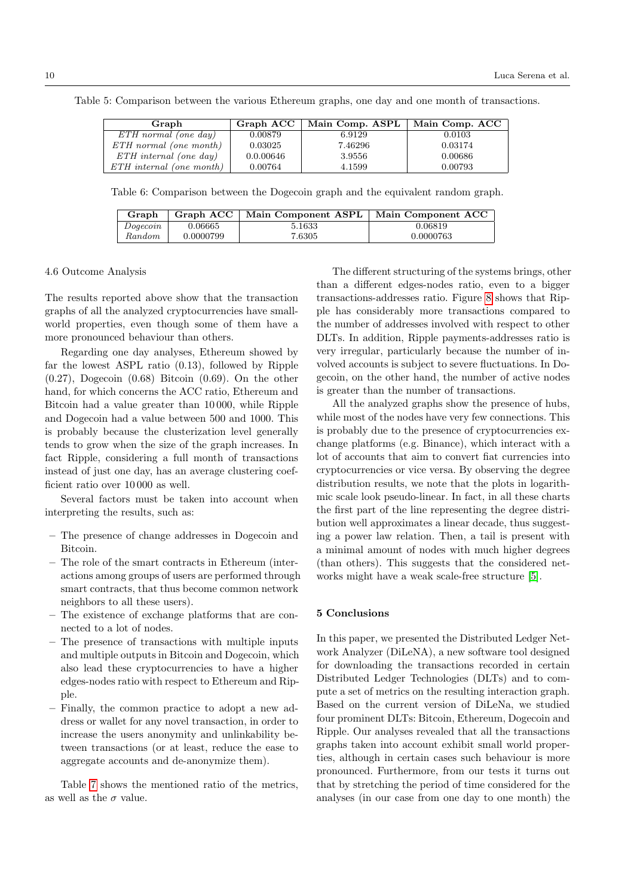<span id="page-9-0"></span>Table 5: Comparison between the various Ethereum graphs, one day and one month of transactions.

| Graph                       | Graph ACC | Main Comp. ASPL | Main Comp. ACC |  |
|-----------------------------|-----------|-----------------|----------------|--|
| $ETH$ normal (one day)      | 0.00879   | 6.9129          | 0.0103         |  |
| $ETH$ normal (one month)    | 0.03025   | 7.46296         | 0.03174        |  |
| $ETH\ interval\ (one\ day)$ | 0.0.00646 | 3.9556          | 0.00686        |  |
| $ETH$ internal (one month)  | 0.00764   | 4.1599          | 0.00793        |  |

<span id="page-9-1"></span>Table 6: Comparison between the Dogecoin graph and the equivalent random graph.

| Graph    | Graph ACC | Main Component ASPL | Main Component ACC |  |
|----------|-----------|---------------------|--------------------|--|
| Doaecoin | 0.06665   | 5.1633              | 0.06819            |  |
| Random   | 0.0000799 | 7.6305              | 0.0000763          |  |

#### 4.6 Outcome Analysis

The results reported above show that the transaction graphs of all the analyzed cryptocurrencies have smallworld properties, even though some of them have a more pronounced behaviour than others.

Regarding one day analyses, Ethereum showed by far the lowest ASPL ratio (0.13), followed by Ripple  $(0.27)$ , Dogecoin  $(0.68)$  Bitcoin  $(0.69)$ . On the other hand, for which concerns the ACC ratio, Ethereum and Bitcoin had a value greater than 10 000, while Ripple and Dogecoin had a value between 500 and 1000. This is probably because the clusterization level generally tends to grow when the size of the graph increases. In fact Ripple, considering a full month of transactions instead of just one day, has an average clustering coefficient ratio over 10 000 as well.

Several factors must be taken into account when interpreting the results, such as:

- The presence of change addresses in Dogecoin and Bitcoin.
- The role of the smart contracts in Ethereum (interactions among groups of users are performed through smart contracts, that thus become common network neighbors to all these users).
- The existence of exchange platforms that are connected to a lot of nodes.
- The presence of transactions with multiple inputs and multiple outputs in Bitcoin and Dogecoin, which also lead these cryptocurrencies to have a higher edges-nodes ratio with respect to Ethereum and Ripple.
- Finally, the common practice to adopt a new address or wallet for any novel transaction, in order to increase the users anonymity and unlinkability between transactions (or at least, reduce the ease to aggregate accounts and de-anonymize them).

Table [7](#page-10-23) shows the mentioned ratio of the metrics, as well as the  $\sigma$  value.

The different structuring of the systems brings, other than a different edges-nodes ratio, even to a bigger transactions-addresses ratio. Figure [8](#page-15-0) shows that Ripple has considerably more transactions compared to the number of addresses involved with respect to other DLTs. In addition, Ripple payments-addresses ratio is very irregular, particularly because the number of involved accounts is subject to severe fluctuations. In Dogecoin, on the other hand, the number of active nodes is greater than the number of transactions.

All the analyzed graphs show the presence of hubs, while most of the nodes have very few connections. This is probably due to the presence of cryptocurrencies exchange platforms (e.g. Binance), which interact with a lot of accounts that aim to convert fiat currencies into cryptocurrencies or vice versa. By observing the degree distribution results, we note that the plots in logarithmic scale look pseudo-linear. In fact, in all these charts the first part of the line representing the degree distribution well approximates a linear decade, thus suggesting a power law relation. Then, a tail is present with a minimal amount of nodes with much higher degrees (than others). This suggests that the considered networks might have a weak scale-free structure [\[5\]](#page-10-24).

# 5 Conclusions

In this paper, we presented the Distributed Ledger Network Analyzer (DiLeNA), a new software tool designed for downloading the transactions recorded in certain Distributed Ledger Technologies (DLTs) and to compute a set of metrics on the resulting interaction graph. Based on the current version of DiLeNa, we studied four prominent DLTs: Bitcoin, Ethereum, Dogecoin and Ripple. Our analyses revealed that all the transactions graphs taken into account exhibit small world properties, although in certain cases such behaviour is more pronounced. Furthermore, from our tests it turns out that by stretching the period of time considered for the analyses (in our case from one day to one month) the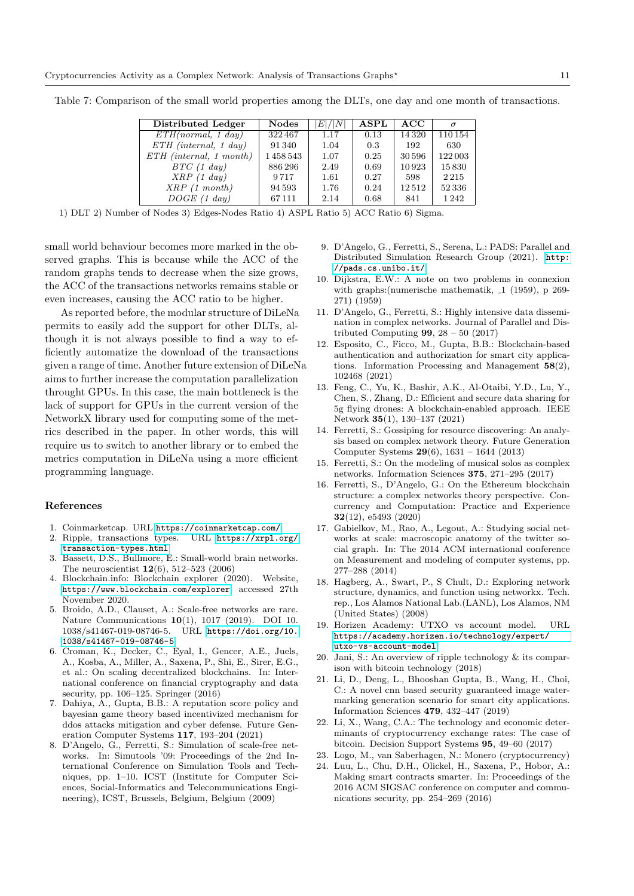<span id="page-10-23"></span>Table 7: Comparison of the small world properties among the DLTs, one day and one month of transactions.

| Distributed Ledger        | <b>Nodes</b> | E / N | $\bf{ASPL}$ | ACC     | $\sigma$ |
|---------------------------|--------------|-------|-------------|---------|----------|
| ETH(normal, 1 day)        | 322467       | 1.17  | 0.13        | 14 3 20 | 110154   |
| $ETH$ (internal, 1 day)   | 91340        | 1.04  | 0.3         | 192     | 630      |
| $ETH$ (internal, 1 month) | 1458543      | 1.07  | 0.25        | 30596   | 122003   |
| BTC(1 day)                | 886296       | 2.49  | 0.69        | 10923   | 15830    |
| XRP(1 day)                | 9717         | 1.61  | 0.27        | 598     | 2215     |
| XRP(1 month)              | 94 5 93      | 1.76  | 0.24        | 12512   | 52336    |
| $DOGE$ (1 day)            | 67111        | 2.14  | 0.68        | 841     | 1242     |

1) DLT 2) Number of Nodes 3) Edges-Nodes Ratio 4) ASPL Ratio 5) ACC Ratio 6) Sigma.

small world behaviour becomes more marked in the observed graphs. This is because while the ACC of the random graphs tends to decrease when the size grows, the ACC of the transactions networks remains stable or even increases, causing the ACC ratio to be higher.

As reported before, the modular structure of DiLeNa permits to easily add the support for other DLTs, although it is not always possible to find a way to efficiently automatize the download of the transactions given a range of time. Another future extension of DiLeNa aims to further increase the computation parallelization throught GPUs. In this case, the main bottleneck is the lack of support for GPUs in the current version of the NetworkX library used for computing some of the metrics described in the paper. In other words, this will require us to switch to another library or to embed the metrics computation in DiLeNa using a more efficient programming language.

# References

- <span id="page-10-0"></span>1. Coinmarketcap. URL <https://coinmarketcap.com/>
- <span id="page-10-21"></span>2. Ripple, transactions types. URL [https://xrpl.org/](https://xrpl.org/transaction-types.html) [transaction-types.html](https://xrpl.org/transaction-types.html)
- <span id="page-10-12"></span>3. Bassett, D.S., Bullmore, E.: Small-world brain networks. The neuroscientist  $12(6)$ , 512–523 (2006)
- <span id="page-10-16"></span>4. Blockchain.info: Blockchain explorer (2020). Website, <https://www.blockchain.com/explorer>, accessed 27th November 2020.
- <span id="page-10-24"></span>5. Broido, A.D., Clauset, A.: Scale-free networks are rare. Nature Communications 10(1), 1017 (2019). DOI 10. 1038/s41467-019-08746-5. URL [https://doi.org/10.](https://doi.org/10.1038/s41467-019-08746-5) [1038/s41467-019-08746-5](https://doi.org/10.1038/s41467-019-08746-5)
- <span id="page-10-19"></span>6. Croman, K., Decker, C., Eyal, I., Gencer, A.E., Juels, A., Kosba, A., Miller, A., Saxena, P., Shi, E., Sirer, E.G., et al.: On scaling decentralized blockchains. In: International conference on financial cryptography and data security, pp. 106–125. Springer (2016)
- <span id="page-10-2"></span>7. Dahiya, A., Gupta, B.B.: A reputation score policy and bayesian game theory based incentivized mechanism for ddos attacks mitigation and cyber defense. Future Generation Computer Systems 117, 193–204 (2021)
- <span id="page-10-14"></span>8. D'Angelo, G., Ferretti, S.: Simulation of scale-free networks. In: Simutools '09: Proceedings of the 2nd International Conference on Simulation Tools and Techniques, pp. 1–10. ICST (Institute for Computer Sciences, Social-Informatics and Telecommunications Engineering), ICST, Brussels, Belgium, Belgium (2009)
- <span id="page-10-15"></span>9. D'Angelo, G., Ferretti, S., Serena, L.: PADS: Parallel and Distributed Simulation Research Group (2021). [http:](http://pads.cs.unibo.it/) [//pads.cs.unibo.it/](http://pads.cs.unibo.it/)
- <span id="page-10-13"></span>10. Dijkstra, E.W.: A note on two problems in connexion with graphs: (numerische mathematik,  $\Box$  (1959), p 269-271) (1959)
- <span id="page-10-11"></span>11. D'Angelo, G., Ferretti, S.: Highly intensive data dissemination in complex networks. Journal of Parallel and Distributed Computing  $99, 28 - 50$  (2017)
- <span id="page-10-4"></span>12. Esposito, C., Ficco, M., Gupta, B.B.: Blockchain-based authentication and authorization for smart city applications. Information Processing and Management  $58(2)$ , 102468 (2021)
- <span id="page-10-3"></span>13. Feng, C., Yu, K., Bashir, A.K., Al-Otaibi, Y.D., Lu, Y., Chen, S., Zhang, D.: Efficient and secure data sharing for 5g flying drones: A blockchain-enabled approach. IEEE Network 35(1), 130–137 (2021)
- <span id="page-10-10"></span>14. Ferretti, S.: Gossiping for resource discovering: An analysis based on complex network theory. Future Generation Computer Systems 29(6), 1631 – 1644 (2013)
- <span id="page-10-9"></span>15. Ferretti, S.: On the modeling of musical solos as complex networks. Information Sciences 375, 271–295 (2017)
- <span id="page-10-8"></span>16. Ferretti, S., D'Angelo, G.: On the Ethereum blockchain structure: a complex networks theory perspective. Concurrency and Computation: Practice and Experience 32(12), e5493 (2020)
- <span id="page-10-7"></span>17. Gabielkov, M., Rao, A., Legout, A.: Studying social networks at scale: macroscopic anatomy of the twitter social graph. In: The 2014 ACM international conference on Measurement and modeling of computer systems, pp. 277–288 (2014)
- <span id="page-10-17"></span>18. Hagberg, A., Swart, P., S Chult, D.: Exploring network structure, dynamics, and function using networkx. Tech. rep., Los Alamos National Lab.(LANL), Los Alamos, NM (United States) (2008)
- <span id="page-10-22"></span>19. Horizen Academy: UTXO vs account model. URL [https://academy.horizen.io/technology/expert/](https://academy.horizen.io/technology/expert/utxo-vs-account-model) [utxo-vs-account-model](https://academy.horizen.io/technology/expert/utxo-vs-account-model)
- <span id="page-10-20"></span>20. Jani, S.: An overview of ripple technology & its comparison with bitcoin technology (2018)
- <span id="page-10-5"></span>21. Li, D., Deng, L., Bhooshan Gupta, B., Wang, H., Choi, C.: A novel cnn based security guaranteed image watermarking generation scenario for smart city applications. Information Sciences 479, 432–447 (2019)
- <span id="page-10-6"></span>22. Li, X., Wang, C.A.: The technology and economic determinants of cryptocurrency exchange rates: The case of bitcoin. Decision Support Systems 95, 49–60 (2017)
- <span id="page-10-18"></span>23. Logo, M., van Saberhagen, N.: Monero (cryptocurrency)
- <span id="page-10-1"></span>24. Luu, L., Chu, D.H., Olickel, H., Saxena, P., Hobor, A.: Making smart contracts smarter. In: Proceedings of the 2016 ACM SIGSAC conference on computer and communications security, pp. 254–269 (2016)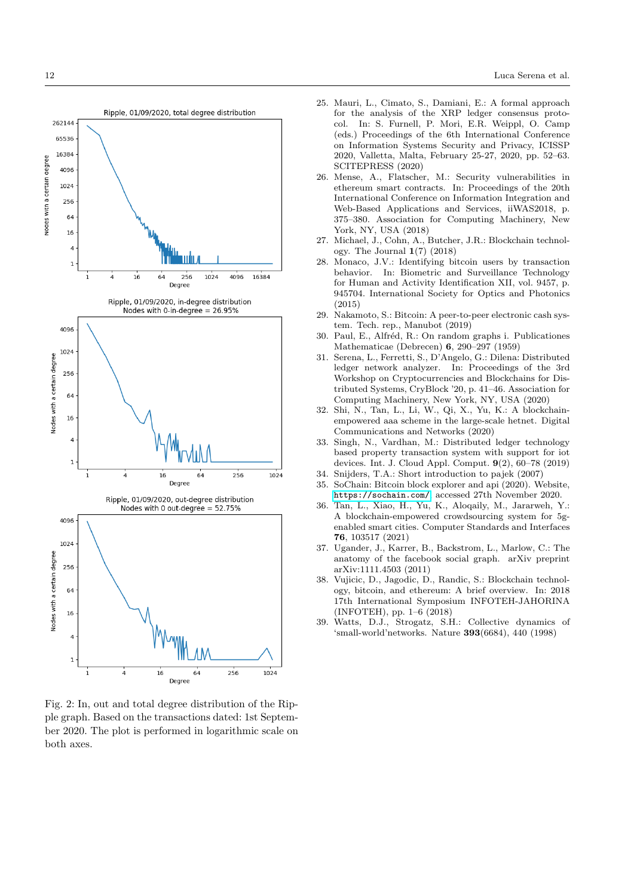<span id="page-11-13"></span>

Fig. 2: In, out and total degree distribution of the Ripple graph. Based on the transactions dated: 1st September 2020. The plot is performed in logarithmic scale on both axes.

- <span id="page-11-12"></span>25. Mauri, L., Cimato, S., Damiani, E.: A formal approach for the analysis of the XRP ledger consensus protocol. In: S. Furnell, P. Mori, E.R. Weippl, O. Camp (eds.) Proceedings of the 6th International Conference on Information Systems Security and Privacy, ICISSP 2020, Valletta, Malta, February 25-27, 2020, pp. 52–63. SCITEPRESS (2020)
- <span id="page-11-2"></span>26. Mense, A., Flatscher, M.: Security vulnerabilities in ethereum smart contracts. In: Proceedings of the 20th International Conference on Information Integration and Web-Based Applications and Services, iiWAS2018, p. 375–380. Association for Computing Machinery, New York, NY, USA (2018)
- <span id="page-11-1"></span>27. Michael, J., Cohn, A., Butcher, J.R.: Blockchain technology. The Journal 1(7) (2018)
- <span id="page-11-14"></span>28. Monaco, J.V.: Identifying bitcoin users by transaction behavior. In: Biometric and Surveillance Technology for Human and Activity Identification XII, vol. 9457, p. 945704. International Society for Optics and Photonics (2015)
- <span id="page-11-0"></span>29. Nakamoto, S.: Bitcoin: A peer-to-peer electronic cash system. Tech. rep., Manubot (2019)
- <span id="page-11-8"></span>30. Paul, E., Alfréd, R.: On random graphs i. Publicationes Mathematicae (Debrecen) 6, 290–297 (1959)
- <span id="page-11-7"></span>31. Serena, L., Ferretti, S., D'Angelo, G.: Dilena: Distributed ledger network analyzer. In: Proceedings of the 3rd Workshop on Cryptocurrencies and Blockchains for Distributed Systems, CryBlock '20, p. 41–46. Association for Computing Machinery, New York, NY, USA (2020)
- <span id="page-11-5"></span>32. Shi, N., Tan, L., Li, W., Qi, X., Yu, K.: A blockchainempowered aaa scheme in the large-scale hetnet. Digital Communications and Networks (2020)
- <span id="page-11-3"></span>33. Singh, N., Vardhan, M.: Distributed ledger technology based property transaction system with support for iot devices. Int. J. Cloud Appl. Comput. 9(2), 60–78 (2019)
- <span id="page-11-10"></span>34. Snijders, T.A.: Short introduction to pajek (2007)
- <span id="page-11-11"></span>35. SoChain: Bitcoin block explorer and api (2020). Website, <https://sochain.com/>, accessed 27th November 2020.
- <span id="page-11-4"></span>36. Tan, L., Xiao, H., Yu, K., Aloqaily, M., Jararweh, Y.: A blockchain-empowered crowdsourcing system for 5genabled smart cities. Computer Standards and Interfaces 76, 103517 (2021)
- <span id="page-11-6"></span>37. Ugander, J., Karrer, B., Backstrom, L., Marlow, C.: The anatomy of the facebook social graph. arXiv preprint arXiv:1111.4503 (2011)
- <span id="page-11-15"></span>38. Vujicic, D., Jagodic, D., Randic, S.: Blockchain technology, bitcoin, and ethereum: A brief overview. In: 2018 17th International Symposium INFOTEH-JAHORINA (INFOTEH), pp. 1–6 (2018)
- <span id="page-11-9"></span>39. Watts, D.J., Strogatz, S.H.: Collective dynamics of 'small-world'networks. Nature 393(6684), 440 (1998)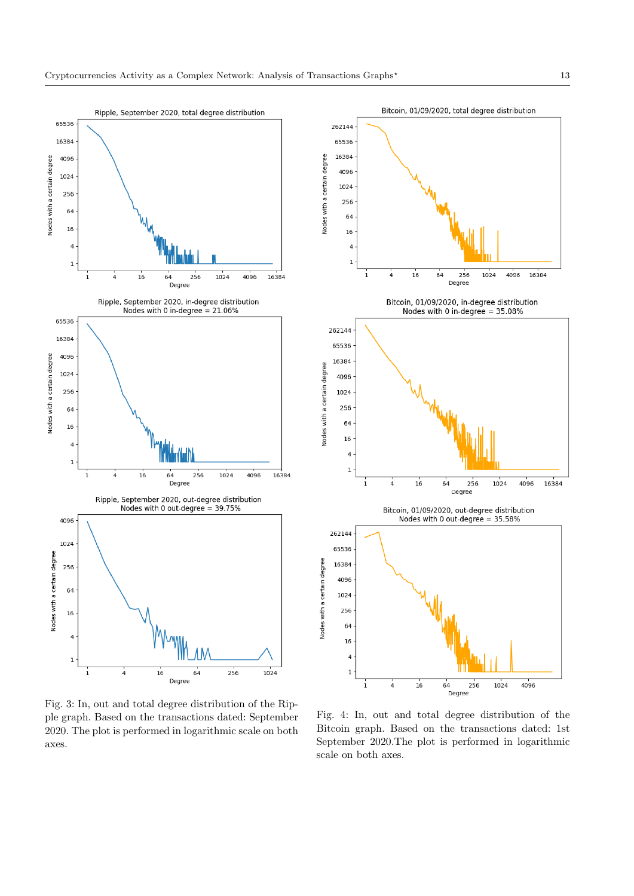Nodes with a certain degree

Nodes with a certain degree

Nodes with a certain degree

<span id="page-12-1"></span><span id="page-12-0"></span>

Fig. 3: In, out and total degree distribution of the Ripple graph. Based on the transactions dated: September 2020. The plot is performed in logarithmic scale on both axes.

Fig. 4: In, out and total degree distribution of the Bitcoin graph. Based on the transactions dated: 1st September 2020.The plot is performed in logarithmic scale on both axes.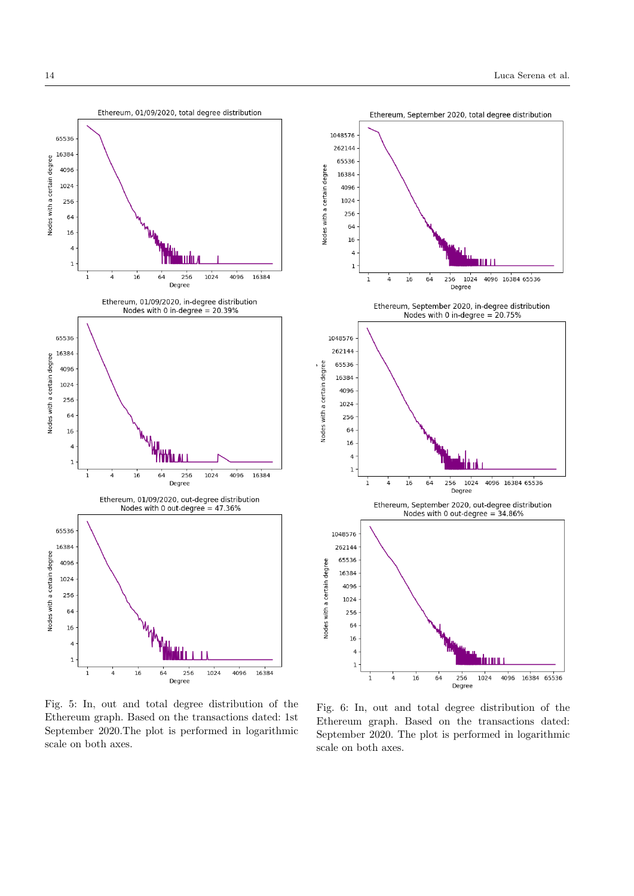<span id="page-13-1"></span><span id="page-13-0"></span>

Fig. 5: In, out and total degree distribution of the Ethereum graph. Based on the transactions dated: 1st September 2020.The plot is performed in logarithmic scale on both axes.

Fig. 6: In, out and total degree distribution of the Ethereum graph. Based on the transactions dated: September 2020. The plot is performed in logarithmic scale on both axes.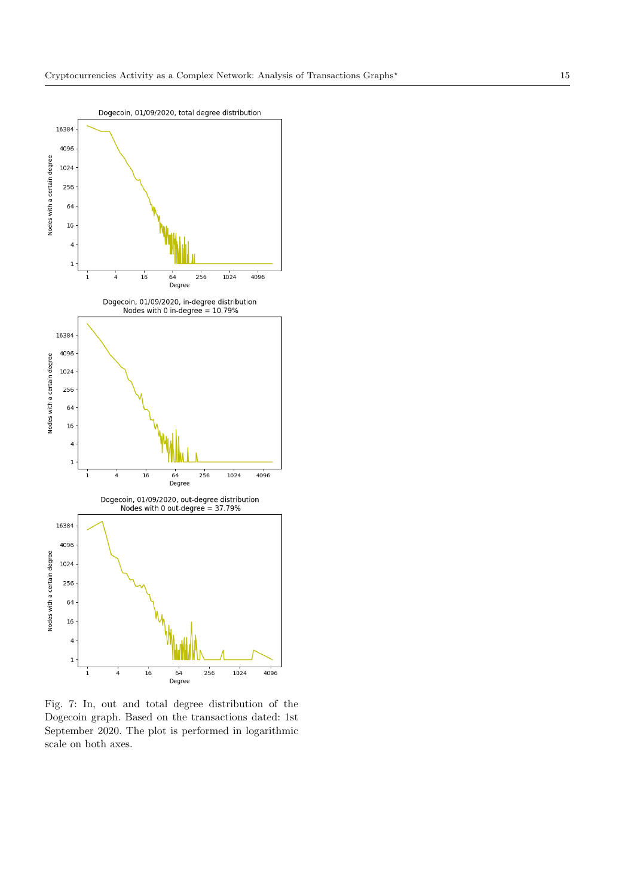<span id="page-14-0"></span>

Fig. 7: In, out and total degree distribution of the Dogecoin graph. Based on the transactions dated: 1st September 2020. The plot is performed in logarithmic scale on both axes.